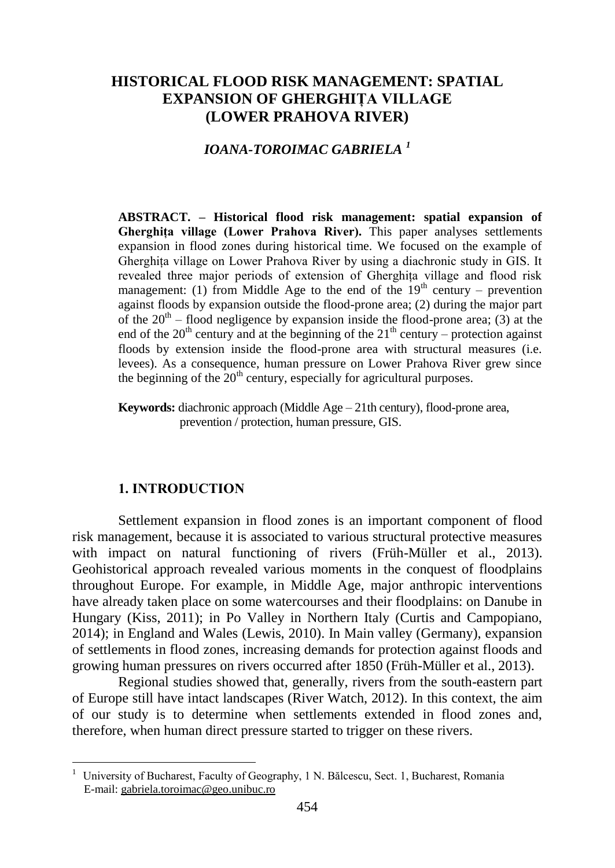# **HISTORICAL FLOOD RISK MANAGEMENT: SPATIAL EXPANSION OF GHERGHIȚA VILLAGE (LOWER PRAHOVA RIVER)**

# *IOANA-TOROIMAC GABRIELA <sup>1</sup>*

**ABSTRACT. – Historical flood risk management: spatial expansion of**  Gherghita village (Lower Prahova River). This paper analyses settlements expansion in flood zones during historical time. We focused on the example of Gherghiţa village on Lower Prahova River by using a diachronic study in GIS. It revealed three major periods of extension of Gherghița village and flood risk management: (1) from Middle Age to the end of the  $19<sup>th</sup>$  century – prevention against floods by expansion outside the flood-prone area; (2) during the major part of the  $20<sup>th</sup>$  – flood negligence by expansion inside the flood-prone area; (3) at the end of the  $20<sup>th</sup>$  century and at the beginning of the  $21<sup>th</sup>$  century – protection against floods by extension inside the flood-prone area with structural measures (i.e. levees). As a consequence, human pressure on Lower Prahova River grew since the beginning of the  $20<sup>th</sup>$  century, especially for agricultural purposes.

**Keywords:** diachronic approach (Middle Age – 21th century), flood-prone area, prevention / protection, human pressure, GIS.

#### **1. INTRODUCTION**

 $\overline{a}$ 

Settlement expansion in flood zones is an important component of flood risk management, because it is associated to various structural protective measures with impact on natural functioning of rivers (Früh-Müller et al., 2013). Geohistorical approach revealed various moments in the conquest of floodplains throughout Europe. For example, in Middle Age, major anthropic interventions have already taken place on some watercourses and their floodplains: on Danube in Hungary (Kiss, 2011); in Po Valley in Northern Italy (Curtis and Campopiano, 2014); in England and Wales (Lewis, 2010). In Main valley (Germany), expansion of settlements in flood zones, increasing demands for protection against floods and growing human pressures on rivers occurred after 1850 (Früh-Müller et al., 2013).

Regional studies showed that, generally, rivers from the south-eastern part of Europe still have intact landscapes (River Watch, 2012). In this context, the aim of our study is to determine when settlements extended in flood zones and, therefore, when human direct pressure started to trigger on these rivers.

 $1$  University of Bucharest, Faculty of Geography, 1 N. Bălcescu, Sect. 1, Bucharest, Romania E-mail: gabriela.toroimac@geo.unibuc.ro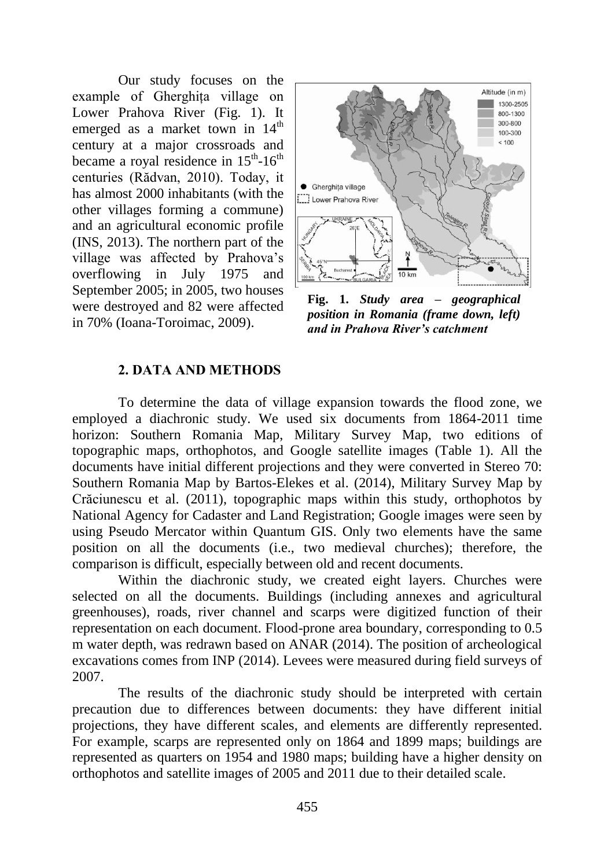Our study focuses on the example of Gherghita village on Lower Prahova River (Fig. 1). It emerged as a market town in  $14<sup>th</sup>$ century at a major crossroads and became a royal residence in  $15^{th}$ - $16^{th}$ centuries (Rădvan, 2010). Today, it has almost 2000 inhabitants (with the other villages forming a commune) and an agricultural economic profile (INS, 2013). The northern part of the village was affected by Prahova's overflowing in July 1975 and September 2005; in 2005, two houses were destroyed and 82 were affected in 70% (Ioana-Toroimac, 2009).



**Fig. 1.** *Study area – geographical position in Romania (frame down, left) and in Prahova River's catchment*

## **2. DATA AND METHODS**

To determine the data of village expansion towards the flood zone, we employed a diachronic study. We used six documents from 1864-2011 time horizon: Southern Romania Map, Military Survey Map, two editions of topographic maps, orthophotos, and Google satellite images (Table 1). All the documents have initial different projections and they were converted in Stereo 70: Southern Romania Map by Bartos-Elekes et al. (2014), Military Survey Map by Crăciunescu et al. (2011), topographic maps within this study, orthophotos by National Agency for Cadaster and Land Registration; Google images were seen by using Pseudo Mercator within Quantum GIS. Only two elements have the same position on all the documents (i.e., two medieval churches); therefore, the comparison is difficult, especially between old and recent documents.

Within the diachronic study, we created eight layers. Churches were selected on all the documents. Buildings (including annexes and agricultural greenhouses), roads, river channel and scarps were digitized function of their representation on each document. Flood-prone area boundary, corresponding to 0.5 m water depth, was redrawn based on ANAR (2014). The position of archeological excavations comes from INP (2014). Levees were measured during field surveys of 2007.

The results of the diachronic study should be interpreted with certain precaution due to differences between documents: they have different initial projections, they have different scales, and elements are differently represented. For example, scarps are represented only on 1864 and 1899 maps; buildings are represented as quarters on 1954 and 1980 maps; building have a higher density on orthophotos and satellite images of 2005 and 2011 due to their detailed scale.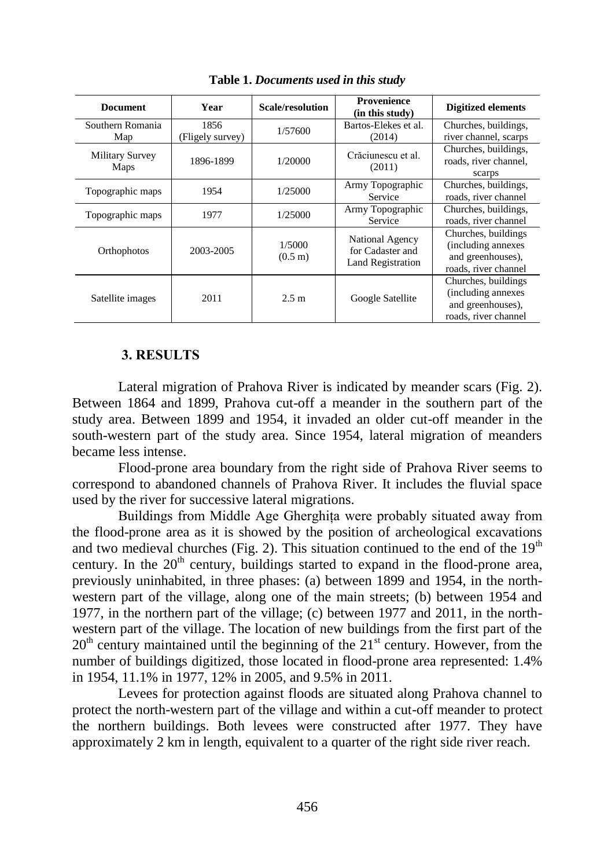| <b>Document</b>                | Year                     | Scale/resolution            | Provenience<br>(in this study)                                  | <b>Digitized elements</b>                                                              |
|--------------------------------|--------------------------|-----------------------------|-----------------------------------------------------------------|----------------------------------------------------------------------------------------|
| Southern Romania<br>Map        | 1856<br>(Fligely survey) | 1/57600                     | Bartos-Elekes et al.<br>(2014)                                  | Churches, buildings,<br>river channel, scarps                                          |
| <b>Military Survey</b><br>Maps | 1896-1899                | 1/20000                     | Crăciunescu et al.<br>(2011)                                    | Churches, buildings,<br>roads, river channel,<br>scarps                                |
| Topographic maps               | 1954                     | 1/25000                     | Army Topographic<br>Service                                     | Churches, buildings,<br>roads, river channel                                           |
| Topographic maps               | 1977                     | 1/25000                     | Army Topographic<br>Service                                     | Churches, buildings,<br>roads, river channel                                           |
| Orthophotos                    | 2003-2005                | 1/5000<br>$(0.5 \text{ m})$ | National Agency<br>for Cadaster and<br><b>Land Registration</b> | Churches, buildings<br>(including annexes<br>and greenhouses),<br>roads, river channel |
| Satellite images               | 2011                     | 2.5 m                       | Google Satellite                                                | Churches, buildings<br>(including annexes<br>and greenhouses),<br>roads, river channel |

**Table 1.** *Documents used in this study*

## **3. RESULTS**

Lateral migration of Prahova River is indicated by meander scars (Fig. 2). Between 1864 and 1899, Prahova cut-off a meander in the southern part of the study area. Between 1899 and 1954, it invaded an older cut-off meander in the south-western part of the study area. Since 1954, lateral migration of meanders became less intense.

Flood-prone area boundary from the right side of Prahova River seems to correspond to abandoned channels of Prahova River. It includes the fluvial space used by the river for successive lateral migrations.

Buildings from Middle Age Gherghita were probably situated away from the flood-prone area as it is showed by the position of archeological excavations and two medieval churches (Fig. 2). This situation continued to the end of the  $19<sup>th</sup>$ century. In the  $20<sup>th</sup>$  century, buildings started to expand in the flood-prone area, previously uninhabited, in three phases: (a) between 1899 and 1954, in the northwestern part of the village, along one of the main streets; (b) between 1954 and 1977, in the northern part of the village; (c) between 1977 and 2011, in the northwestern part of the village. The location of new buildings from the first part of the  $20<sup>th</sup>$  century maintained until the beginning of the  $21<sup>st</sup>$  century. However, from the number of buildings digitized, those located in flood-prone area represented: 1.4% in 1954, 11.1% in 1977, 12% in 2005, and 9.5% in 2011.

Levees for protection against floods are situated along Prahova channel to protect the north-western part of the village and within a cut-off meander to protect the northern buildings. Both levees were constructed after 1977. They have approximately 2 km in length, equivalent to a quarter of the right side river reach.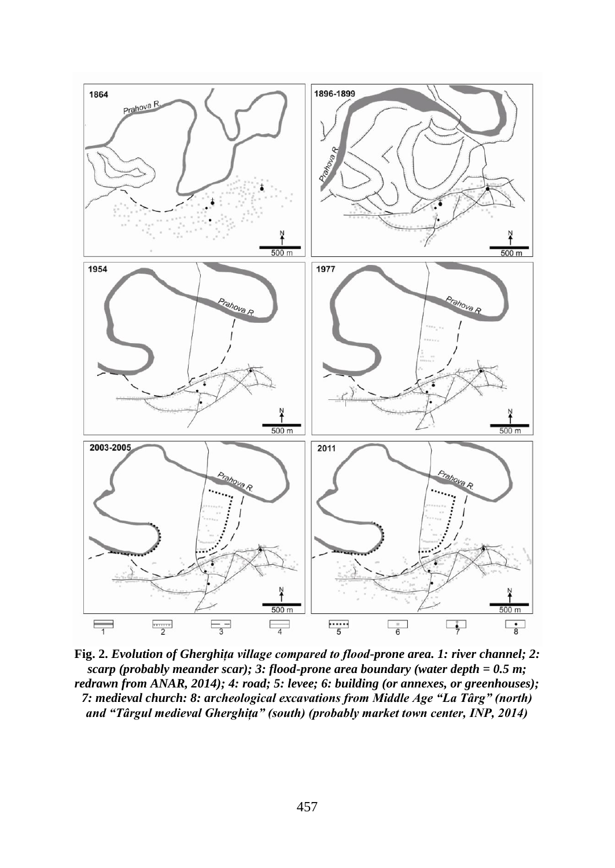

**Fig. 2.** *Evolution of Gherghița village compared to flood-prone area. 1: river channel; 2: scarp (probably meander scar); 3: flood-prone area boundary (water depth = 0.5 m; redrawn from ANAR, 2014); 4: road; 5: levee; 6: building (or annexes, or greenhouses); 7: medieval church: 8: archeological excavations from Middle Age "La Târg" (north) and "Târgul medieval Gherghiţa" (south) (probably market town center, INP, 2014)*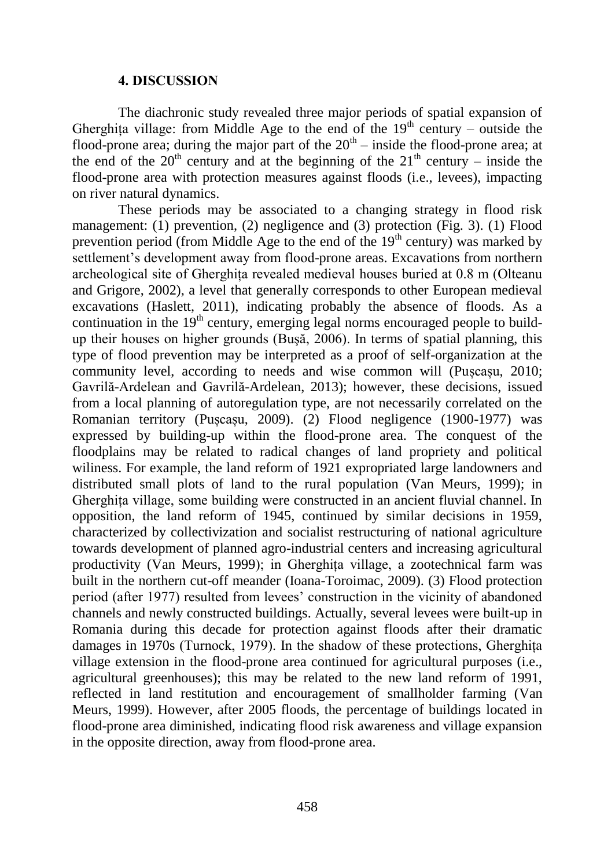#### **4. DISCUSSION**

The diachronic study revealed three major periods of spatial expansion of Gherghita village: from Middle Age to the end of the  $19<sup>th</sup>$  century – outside the flood-prone area; during the major part of the  $20<sup>th</sup>$  – inside the flood-prone area; at the end of the  $20<sup>th</sup>$  century and at the beginning of the  $21<sup>th</sup>$  century – inside the flood-prone area with protection measures against floods (i.e., levees), impacting on river natural dynamics.

These periods may be associated to a changing strategy in flood risk management:  $(1)$  prevention,  $(2)$  negligence and  $(3)$  protection (Fig. 3).  $(1)$  Flood prevention period (from Middle Age to the end of the  $19<sup>th</sup>$  century) was marked by settlement's development away from flood-prone areas. Excavations from northern archeological site of Gherghita revealed medieval houses buried at 0.8 m (Olteanu and Grigore, 2002), a level that generally corresponds to other European medieval excavations (Haslett, 2011), indicating probably the absence of floods. As a continuation in the  $19<sup>th</sup>$  century, emerging legal norms encouraged people to buildup their houses on higher grounds (Buşă, 2006). In terms of spatial planning, this type of flood prevention may be interpreted as a proof of self-organization at the community level, according to needs and wise common will (Pușcașu, 2010; Gavrilă-Ardelean and Gavrilă-Ardelean, 2013); however, these decisions, issued from a local planning of autoregulation type, are not necessarily correlated on the Romanian territory (Pușcașu, 2009). (2) Flood negligence (1900-1977) was expressed by building-up within the flood-prone area. The conquest of the floodplains may be related to radical changes of land propriety and political wiliness. For example, the land reform of 1921 expropriated large landowners and distributed small plots of land to the rural population (Van Meurs, 1999); in Gherghita village, some building were constructed in an ancient fluvial channel. In opposition, the land reform of 1945, continued by similar decisions in 1959, characterized by collectivization and socialist restructuring of national agriculture towards development of planned agro-industrial centers and increasing agricultural productivity (Van Meurs, 1999); in Gherghiţa village, a zootechnical farm was built in the northern cut-off meander (Ioana-Toroimac, 2009). (3) Flood protection period (after 1977) resulted from levees' construction in the vicinity of abandoned channels and newly constructed buildings. Actually, several levees were built-up in Romania during this decade for protection against floods after their dramatic damages in 1970s (Turnock, 1979). In the shadow of these protections, Gherghita village extension in the flood-prone area continued for agricultural purposes (i.e., agricultural greenhouses); this may be related to the new land reform of 1991, reflected in land restitution and encouragement of smallholder farming (Van Meurs, 1999). However, after 2005 floods, the percentage of buildings located in flood-prone area diminished, indicating flood risk awareness and village expansion in the opposite direction, away from flood-prone area.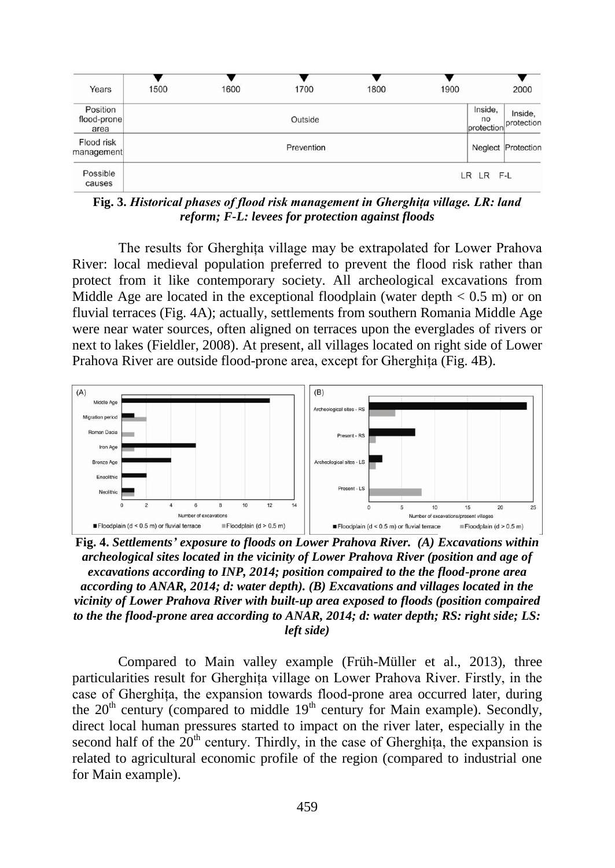| Years                           | 1500 | 1600 | 1700       | 1800 | 1900 |                             | 2000                  |
|---------------------------------|------|------|------------|------|------|-----------------------------|-----------------------|
| Position<br>flood-prone<br>area |      |      | Outside    |      |      | Inside,<br>no<br>protection | Inside,<br>protection |
| Flood risk<br>management        |      |      | Prevention |      |      |                             | Neglect Protection    |
| Possible<br>causes              |      |      |            |      |      | LR LR F-L                   |                       |

**Fig. 3.** *Historical phases of flood risk management in Gherghiţa village. LR: land reform; F-L: levees for protection against floods*

The results for Gherghita village may be extrapolated for Lower Prahova River: local medieval population preferred to prevent the flood risk rather than protect from it like contemporary society. All archeological excavations from Middle Age are located in the exceptional floodplain (water depth  $< 0.5$  m) or on fluvial terraces (Fig. 4A); actually, settlements from southern Romania Middle Age were near water sources, often aligned on terraces upon the everglades of rivers or next to lakes (Fieldler, 2008). At present, all villages located on right side of Lower Prahova River are outside flood-prone area, except for Gherghita (Fig. 4B).



**Fig. 4.** *Settlements' exposure to floods on Lower Prahova River. (A) Excavations within archeological sites located in the vicinity of Lower Prahova River (position and age of excavations according to INP, 2014; position compaired to the the flood-prone area according to ANAR, 2014; d: water depth). (B) Excavations and villages located in the vicinity of Lower Prahova River with built-up area exposed to floods (position compaired to the the flood-prone area according to ANAR, 2014; d: water depth; RS: right side; LS: left side)*

Compared to Main valley example (Früh-Müller et al., 2013), three particularities result for Gherghita village on Lower Prahova River. Firstly, in the case of Gherghiţa, the expansion towards flood-prone area occurred later, during the  $20<sup>th</sup>$  century (compared to middle  $19<sup>th</sup>$  century for Main example). Secondly, direct local human pressures started to impact on the river later, especially in the second half of the  $20<sup>th</sup>$  century. Thirdly, in the case of Gherghiţa, the expansion is related to agricultural economic profile of the region (compared to industrial one for Main example).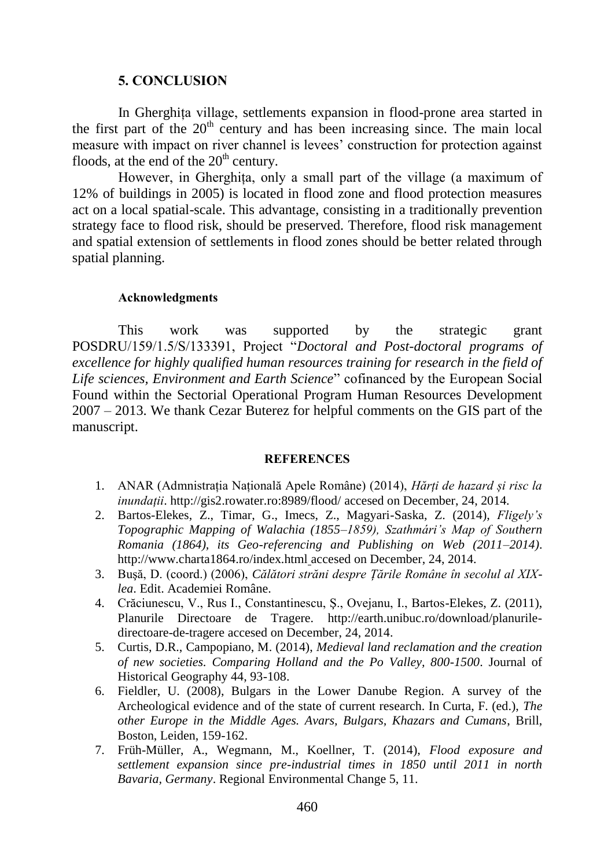## **5. CONCLUSION**

In Gherghița village, settlements expansion in flood-prone area started in the first part of the  $20<sup>th</sup>$  century and has been increasing since. The main local measure with impact on river channel is levees' construction for protection against floods, at the end of the  $20<sup>th</sup>$  century.

However, in Gherghita, only a small part of the village (a maximum of 12% of buildings in 2005) is located in flood zone and flood protection measures act on a local spatial-scale. This advantage, consisting in a traditionally prevention strategy face to flood risk, should be preserved. Therefore, flood risk management and spatial extension of settlements in flood zones should be better related through spatial planning.

#### **Acknowledgments**

This work was supported by the strategic grant POSDRU/159/1.5/S/133391, Project "*Doctoral and Post-doctoral programs of excellence for highly qualified human resources training for research in the field of Life sciences, Environment and Earth Science*" cofinanced by the European Social Found within the Sectorial Operational Program Human Resources Development 2007 – 2013. We thank Cezar Buterez for helpful comments on the GIS part of the manuscript.

#### **REFERENCES**

- 1. ANAR (Admnistrația Națională Apele Române) (2014), *Hărți de hazard și risc la inundații*[. http://gis2.rowater.ro:8989/flood/](http://gis2.rowater.ro:8989/flood/) accesed on December, 24, 2014.
- 2. Bartos-Elekes, Z., Timar, G., Imecs, Z., Magyari-Saska, Z. (2014), *Fligely's Topographic Mapping of Walachia (1855–1859), Szathmári's Map of Southern Romania (1864), its Geo-referencing and Publishing on Web (2011–2014)*. <http://www.charta1864.ro/index.html> accesed on December, 24, 2014.
- 3. Buşă, D. (coord.) (2006), *Călători străni despre Ţările Române în secolul al XIXlea*. Edit. Academiei Române.
- 4. Crăciunescu, V., Rus I., Constantinescu, Ş., Ovejanu, I., Bartos-Elekes, Z. (2011), Planurile Directoare de Tragere. [http://earth.unibuc.ro/download/planurile](http://earth.unibuc.ro/download/planurile-directoare-de-tragere)[directoare-de-tragere](http://earth.unibuc.ro/download/planurile-directoare-de-tragere) accesed on December, 24, 2014.
- 5. Curtis, D.R., Campopiano, M. (2014), *Medieval land reclamation and the creation of new societies. Comparing Holland and the Po Valley, 800-1500*. Journal of Historical Geography 44, 93-108.
- 6. Fieldler, U. (2008), Bulgars in the Lower Danube Region. A survey of the Archeological evidence and of the state of current research. In Curta, F. (ed.), *The other Europe in the Middle Ages. Avars, Bulgars, Khazars and Cumans*, Brill, Boston, Leiden, 159-162.
- 7. Früh-Müller, A., Wegmann, M., Koellner, T. (2014), *Flood exposure and settlement expansion since pre-industrial times in 1850 until 2011 in north Bavaria, Germany*. Regional Environmental Change 5, 11.